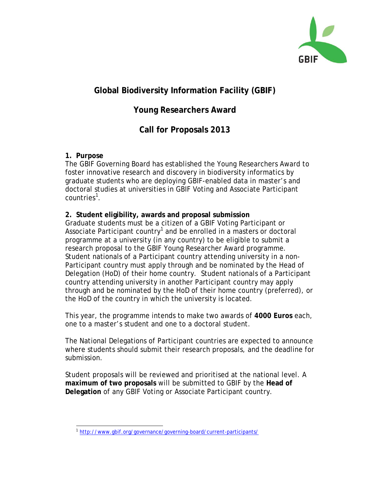

# **Global Biodiversity Information Facility (GBIF)**

# **Young Researchers Award**

# **Call for Proposals 2013**

#### **1. Purpose**

The GBIF Governing Board has established the Young Researchers Award to foster innovative research and discovery in biodiversity informatics by graduate students who are deploying GBIF-enabled data in master's and doctoral studies at universities in GBIF Voting and Associate Participant countries<sup>[1](#page-0-0)</sup>.

### **2. Student eligibility, awards and proposal submission**

Graduate students must be a citizen of a GBIF Voting Participant or Associate Participant country<sup>1</sup> and be enrolled in a masters or doctoral programme at a university (in any country) to be eligible to submit a research proposal to the GBIF Young Researcher Award programme. Student nationals of a Participant country attending university in a non-Participant country must apply through and be nominated by the Head of Delegation (HoD) of their home country. Student nationals of a Participant country attending university in another Participant country may apply through and be nominated by the HoD of their home country (preferred), or the HoD of the country in which the university is located.

This year, the programme intends to make two awards of **4000 Euros** each, one to a master's student and one to a doctoral student.

The National Delegations of Participant countries are expected to announce where students should submit their research proposals, and the deadline for submission.

Student proposals will be reviewed and prioritised at the national level. A **maximum of two proposals** will be submitted to GBIF by the **Head of Delegation** of any GBIF Voting or Associate Participant country.

<span id="page-0-0"></span><sup>1</sup> <http://www.gbif.org/governance/governing-board/current-participants/>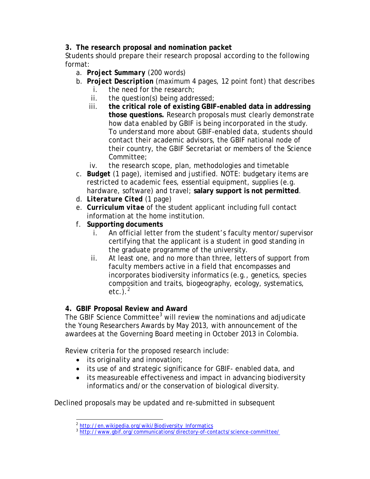#### **3. The research proposal and nomination packet**

Students should prepare their research proposal according to the following format:

- a. *Project Summary* (200 words)
- b. *Project Description* (maximum 4 pages, 12 point font) that describes
	- i. the need for the research;
	- ii. the question(s) being addressed;
	- iii. **the critical role of existing GBIF-enabled data in addressing those questions.** Research proposals must clearly demonstrate *how data enabled by GBIF* is being incorporated in the study. To understand more about GBIF-enabled data, students should contact their academic advisors, the GBIF national node of their country, the GBIF Secretariat or members of the Science Committee;
	- iv. the research scope, plan, methodologies and timetable
- c. *Budget* (1 page), itemised and justified. NOTE: budgetary items are restricted to academic fees, essential equipment, supplies (e.g. hardware, software) and travel; **salary support is not permitted**.
- d. *Literature Cited* (1 page)
- e. *Curriculum vitae* of the student applicant including full contact information at the home institution.
- f. **Supporting documents**
	- i. An official letter from the student's faculty mentor/supervisor certifying that the applicant is a student in good standing in the graduate programme of the university.
	- ii. At least one, and no more than three, letters of support from faculty members active in a field that encompasses and incorporates biodiversity informatics (e.g., genetics, species composition and traits, biogeography, ecology, systematics,  $etc.$ ). $<sup>2</sup>$  $<sup>2</sup>$  $<sup>2</sup>$ </sup>

### **4. GBIF Proposal Review and Award**

The GBIF Science Committee<sup>[3](#page-1-1)</sup> will review the nominations and adjudicate the Young Researchers Awards by May 2013, with announcement of the awardees at the Governing Board meeting in October 2013 in Colombia.

Review criteria for the proposed research include:

- its originality and innovation;
- its use of and strategic significance for GBIF- enabled data, and
- its measureable effectiveness and impact in advancing biodiversity informatics and/or the conservation of biological diversity.

<span id="page-1-1"></span><span id="page-1-0"></span>Declined proposals may be updated and re-submitted in subsequent

<sup>&</sup>lt;sup>2</sup> [http://en.wikipedia.org/wiki/Biodiversity\\_Informatics](http://en.wikipedia.org/wiki/Biodiversity_Informatics)

<sup>&</sup>lt;sup>3</sup> http://www.gbif.org/communications/directory-of-contacts/science-committee/